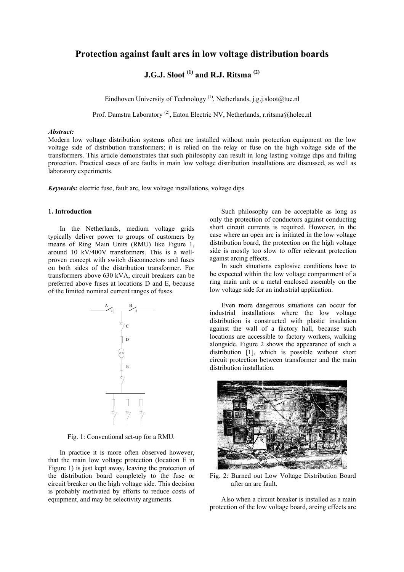## **Protection against fault arcs in low voltage distribution boards**

# **J.G.J. Sloot (1) and R.J. Ritsma (2)**

Eindhoven University of Technology<sup>(1)</sup>, Netherlands, j.g.j.sloot@tue.nl

Prof. Damstra Laboratory<sup>(2)</sup>, Eaton Electric NV, Netherlands, r.ritsma@holec.nl

### *Abstract:*

Modern low voltage distribution systems often are installed without main protection equipment on the low voltage side of distribution transformers; it is relied on the relay or fuse on the high voltage side of the transformers. This article demonstrates that such philosophy can result in long lasting voltage dips and failing protection. Practical cases of arc faults in main low voltage distribution installations are discussed, as well as laboratory experiments.

*Keywords:* electric fuse, fault arc, low voltage installations, voltage dips

#### **1. Introduction**

In the Netherlands, medium voltage grids typically deliver power to groups of customers by means of Ring Main Units (RMU) like Figure 1, around 10 kV/400V transformers. This is a wellproven concept with switch disconnectors and fuses on both sides of the distribution transformer. For transformers above 630 kVA, circuit breakers can be preferred above fuses at locations D and E, because of the limited nominal current ranges of fuses.



Fig. 1: Conventional set-up for a RMU*.*

In practice it is more often observed however, that the main low voltage protection (location E in Figure 1) is just kept away, leaving the protection of the distribution board completely to the fuse or circuit breaker on the high voltage side. This decision is probably motivated by efforts to reduce costs of equipment, and may be selectivity arguments.

Such philosophy can be acceptable as long as only the protection of conductors against conducting short circuit currents is required. However, in the case where an open arc is initiated in the low voltage distribution board, the protection on the high voltage side is mostly too slow to offer relevant protection against arcing effects.

In such situations explosive conditions have to be expected within the low voltage compartment of a ring main unit or a metal enclosed assembly on the low voltage side for an industrial application.

Even more dangerous situations can occur for industrial installations where the low voltage distribution is constructed with plastic insulation against the wall of a factory hall, because such locations are accessible to factory workers, walking alongside. Figure 2 shows the appearance of such a distribution [1], which is possible without short circuit protection between transformer and the main distribution installation.



Fig. 2: Burned out Low Voltage Distribution Board after an arc fault.

Also when a circuit breaker is installed as a main protection of the low voltage board, arcing effects are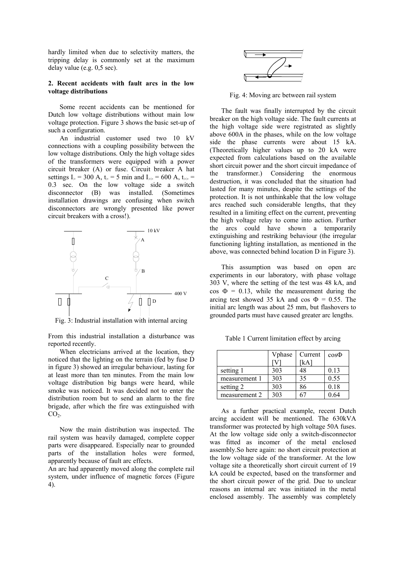hardly limited when due to selectivity matters, the tripping delay is commonly set at the maximum delay value (e.g. 0,5 sec).

#### **2. Recent accidents with fault arcs in the low voltage distributions**

Some recent accidents can be mentioned for Dutch low voltage distributions without main low voltage protection. Figure 3 shows the basic set-up of such a configuration.

An industrial customer used two 10 kV connections with a coupling possibility between the low voltage distributions. Only the high voltage sides of the transformers were equipped with a power circuit breaker (A) or fuse. Circuit breaker A hat settings I<sub>></sub> = 300 A, t<sub>></sub> = 5 min and I<sub>>></sub> = 600 A, t<sub>>></sub> = 0.3 sec. On the low voltage side a switch disconnector (B) was installed. (Sometimes installation drawings are confusing when switch disconnectors are wrongly presented like power circuit breakers with a cross!).



Fig. 3: Industrial installation with internal arcing

From this industrial installation a disturbance was reported recently.

When electricians arrived at the location, they noticed that the lighting on the terrain (fed by fuse D in figure 3) showed an irregular behaviour, lasting for at least more than ten minutes. From the main low voltage distribution big bangs were heard, while smoke was noticed. It was decided not to enter the distribution room but to send an alarm to the fire brigade, after which the fire was extinguished with  $CO<sub>2</sub>$ .

Now the main distribution was inspected. The rail system was heavily damaged, complete copper parts were disappeared. Especially near to grounded parts of the installation holes were formed, apparently because of fault arc effects.

An arc had apparently moved along the complete rail system, under influence of magnetic forces (Figure 4).



Fig. 4: Moving arc between rail system

The fault was finally interrupted by the circuit breaker on the high voltage side. The fault currents at the high voltage side were registrated as slightly above 600A in the phases, while on the low voltage side the phase currents were about 15 kA. (Theoretically higher values up to 20 kA were expected from calculations based on the available short circuit power and the short circuit impedance of the transformer.) Considering the enormous destruction, it was concluded that the situation had lasted for many minutes, despite the settings of the protection. It is not unthinkable that the low voltage arcs reached such considerable lengths, that they resulted in a limiting effect on the current, preventing the high voltage relay to come into action. Further the arcs could have shown a temporarily extinguishing and restriking behaviour (the irregular functioning lighting installation, as mentioned in the above, was connected behind location D in Figure 3).

This assumption was based on open arc experiments in our laboratory, with phase voltage 303 V, where the setting of the test was 48 kA, and  $\cos \Phi = 0.13$ , while the measurement during the arcing test showed 35 kA and cos  $\Phi = 0.55$ . The initial arc length was about 25 mm, but flashovers to grounded parts must have caused greater arc lengths.

 Vphase Current cosΦ

Table 1 Current limitation effect by arcing

|               | Vphase | Current | $cos\Phi$ |
|---------------|--------|---------|-----------|
|               |        | [kA]    |           |
| setting 1     | 303    | 48      | 0.13      |
| measurement 1 | 303    | 35      | 0.55      |
| setting 2     | 303    | 86      | 0.18      |
| measurement 2 | 303    |         | 0.64      |

As a further practical example, recent Dutch arcing accident will be mentioned. The 630kVA transformer was protected by high voltage 50A fuses. At the low voltage side only a switch-disconnector was fitted as incomer of the metal enclosed assembly.So here again: no short circuit protection at the low voltage side of the transformer. At the low voltage site a theoretically short circuit current of 19 kA could be expected, based on the transformer and the short circuit power of the grid. Due to unclear reasons an internal arc was initiated in the metal enclosed assembly. The assembly was completely